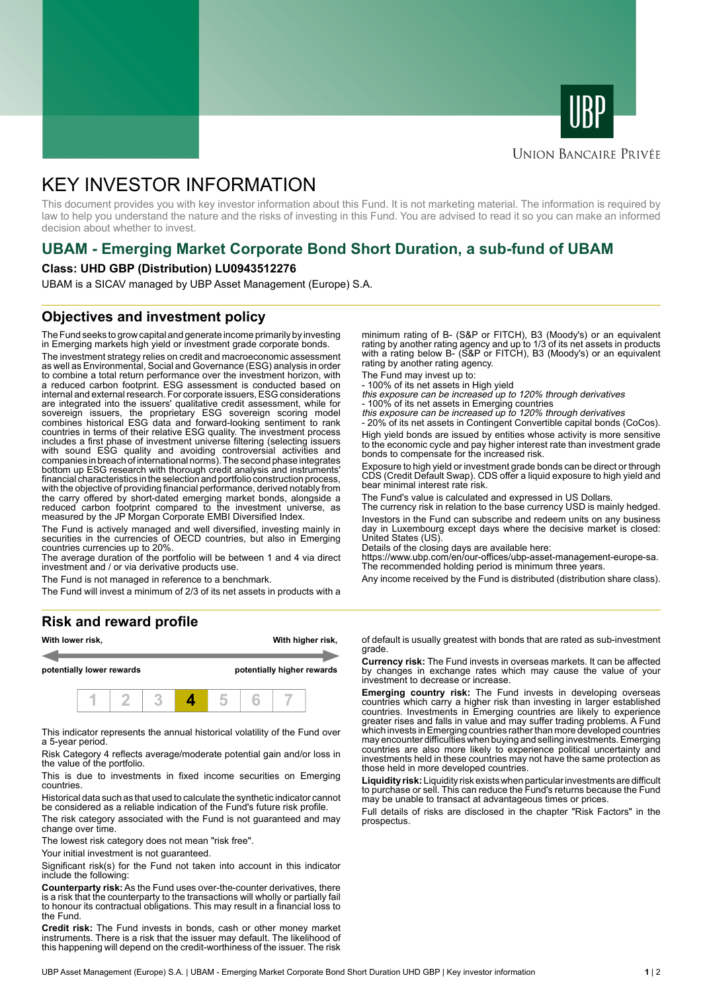



## **UNION BANCAIRE PRIVÉE**

# KEY INVESTOR INFORMATION

This document provides you with key investor information about this Fund. It is not marketing material. The information is required by law to help you understand the nature and the risks of investing in this Fund. You are advised to read it so you can make an informed decision about whether to invest.

# **UBAM - Emerging Market Corporate Bond Short Duration, a sub-fund of UBAM**

#### **Class: UHD GBP (Distribution) LU0943512276**

UBAM is a SICAV managed by UBP Asset Management (Europe) S.A.

# **Objectives and investment policy**

The Fund seeks to grow capital and generate income primarily by investing in Emerging markets high yield or investment grade corporate bonds.

The investment strategy relies on credit and macroeconomic assessment as well as Environmental, Social and Governance (ESG) analysis in order to combine a total return performance over the investment horizon, with a reduced carbon footprint. ESG assessment is conducted based on internal and external research. For corporate issuers, ESG considerations are integrated into the issuers' qualitative credit assessment, while for sovereign issuers, the proprietary ESG sovereign scoring model combines historical ESG data and forward-looking sentiment to rank countries in terms of their relative ESG quality. The investment process includes a first phase of investment universe filtering (selecting issuers with sound ESG quality and avoiding controversial activities and companies in breach of international norms). The second phase integrates bottom up ESG research with thorough credit analysis and instruments' financial characteristics in the selection and portfolio construction process, with the objective of providing financial performance, derived notably from the carry offered by short-dated emerging market bonds, alongside a reduced carbon footprint compared to the investment universe, as measured by the JP Morgan Corporate EMBI Diversified Index.

The Fund is actively managed and well diversified, investing mainly in securities in the currencies of OECD countries, but also in Emerging countries currencies up to 20%.

The average duration of the portfolio will be between 1 and 4 via direct investment and / or via derivative products use.

The Fund is not managed in reference to a benchmark.

The Fund will invest a minimum of 2/3 of its net assets in products with a

### **Risk and reward profile**



This indicator represents the annual historical volatility of the Fund over a 5-year period.

Risk Category 4 reflects average/moderate potential gain and/or loss in the value of the portfolio.

This is due to investments in fixed income securities on Emerging countries.

Historical data such as that used to calculate the synthetic indicator cannot be considered as a reliable indication of the Fund's future risk profile.

The risk category associated with the Fund is not guaranteed and may change over time.

The lowest risk category does not mean "risk free".

Your initial investment is not guaranteed.

Significant risk(s) for the Fund not taken into account in this indicator include the following:

**Counterparty risk:** As the Fund uses over-the-counter derivatives, there is a risk that the counterparty to the transactions will wholly or partially fail to honour its contractual obligations. This may result in a financial loss to the Fund.

**Credit risk:** The Fund invests in bonds, cash or other money market instruments. There is a risk that the issuer may default. The likelihood of this happening will depend on the credit-worthiness of the issuer. The risk

minimum rating of B- (S&P or FITCH), B3 (Moody's) or an equivalent rating by another rating agency and up to 1/3 of its net assets in products with a rating below B- (S&P or FITCH), B3 (Moody's) or an equivalent rating by another rating agency.

The Fund may invest up to:

- 100% of its net assets in High yield this exposure can be increased up to 120% through derivatives

- 100% of its net assets in Emerging countries<br>*this exposure can be increased up to 120% through derivatives*<br>- 20% of its net assets in Contingent Convertible capital bonds (CoCos).

High yield bonds are issued by entities whose activity is more sensitive to the economic cycle and pay higher interest rate than investment grade bonds to compensate for the increased risk.

Exposure to high yield or investment grade bonds can be direct or through CDS (Credit Default Swap). CDS offer a liquid exposure to high yield and bear minimal interest rate risk.

The Fund's value is calculated and expressed in US Dollars.

The currency risk in relation to the base currency USD is mainly hedged. Investors in the Fund can subscribe and redeem units on any business day in Luxembourg except days where the decisive market is closed: United States (US).

Details of the closing days are available here:

https://www.ubp.com/en/our-offices/ubp-asset-management-europe-sa. The recommended holding period is minimum three years.

Any income received by the Fund is distributed (distribution share class).

of default is usually greatest with bonds that are rated as sub-investment grade.

**Currency risk:** The Fund invests in overseas markets. It can be affected by changes in exchange rates which may cause the value of your investment to decrease or increase.

**Emerging country risk:** The Fund invests in developing overseas countries which carry a higher risk than investing in larger established countries. Investments in Emerging countries are likely to experience greater rises and falls in value and may suffer trading problems. A Fund which invests in Emerging countries rather than more developed countries may encounter difficulties when buying and selling investments. Emerging countries are also more likely to experience political uncertainty and investments held in these countries may not have the same protection as those held in more developed countries.

**Liquidity risk:** Liquidity risk exists when particular investments are difficult to purchase or sell. This can reduce the Fund's returns because the Fund may be unable to transact at advantageous times or prices.

Full details of risks are disclosed in the chapter "Risk Factors" in the prospectus.